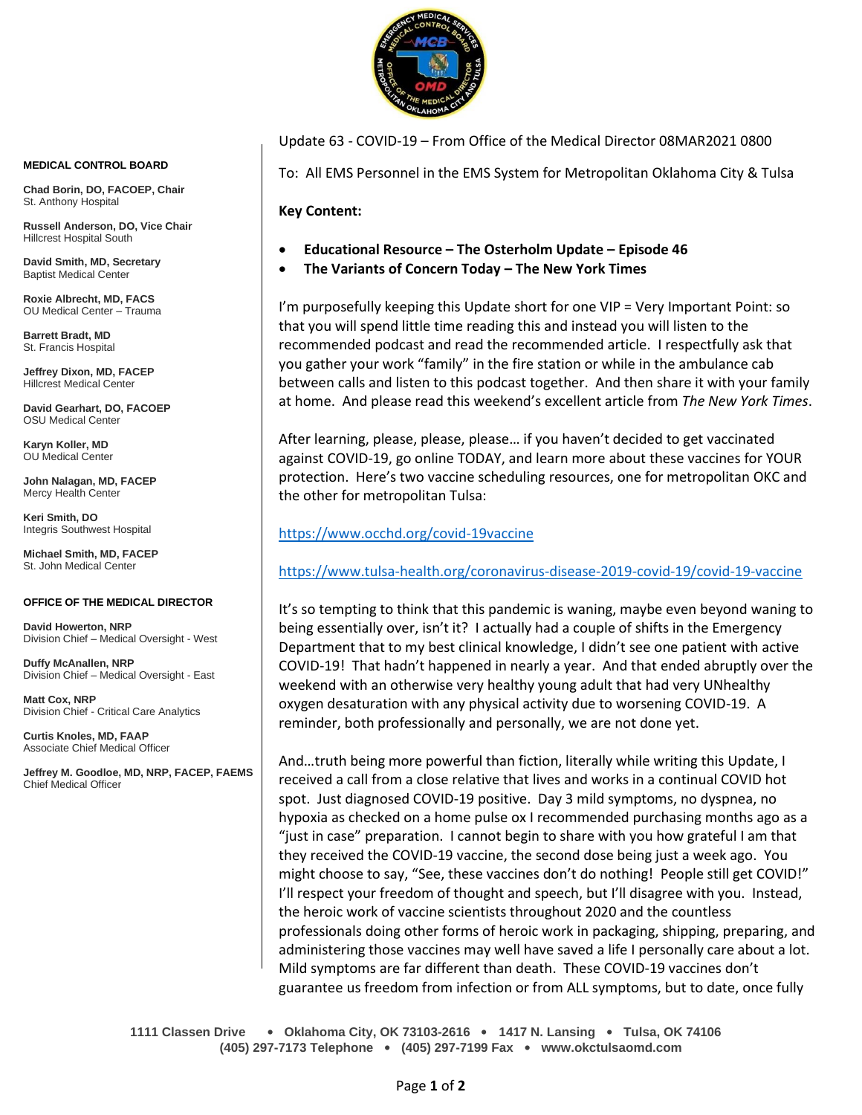

Update 63 - COVID-19 – From Office of the Medical Director 08MAR2021 0800

To: All EMS Personnel in the EMS System for Metropolitan Oklahoma City & Tulsa

**Key Content:**

- **Educational Resource – The Osterholm Update – Episode 46**
- **The Variants of Concern Today – The New York Times**

I'm purposefully keeping this Update short for one VIP = Very Important Point: so that you will spend little time reading this and instead you will listen to the recommended podcast and read the recommended article. I respectfully ask that you gather your work "family" in the fire station or while in the ambulance cab between calls and listen to this podcast together. And then share it with your family at home. And please read this weekend's excellent article from *The New York Times*.

After learning, please, please, please… if you haven't decided to get vaccinated against COVID-19, go online TODAY, and learn more about these vaccines for YOUR protection. Here's two vaccine scheduling resources, one for metropolitan OKC and the other for metropolitan Tulsa:

# <https://www.occhd.org/covid-19vaccine>

<https://www.tulsa-health.org/coronavirus-disease-2019-covid-19/covid-19-vaccine>

It's so tempting to think that this pandemic is waning, maybe even beyond waning to being essentially over, isn't it? I actually had a couple of shifts in the Emergency Department that to my best clinical knowledge, I didn't see one patient with active COVID-19! That hadn't happened in nearly a year. And that ended abruptly over the weekend with an otherwise very healthy young adult that had very UNhealthy oxygen desaturation with any physical activity due to worsening COVID-19. A reminder, both professionally and personally, we are not done yet.

And…truth being more powerful than fiction, literally while writing this Update, I received a call from a close relative that lives and works in a continual COVID hot spot. Just diagnosed COVID-19 positive. Day 3 mild symptoms, no dyspnea, no hypoxia as checked on a home pulse ox I recommended purchasing months ago as a "just in case" preparation. I cannot begin to share with you how grateful I am that they received the COVID-19 vaccine, the second dose being just a week ago. You might choose to say, "See, these vaccines don't do nothing! People still get COVID!" I'll respect your freedom of thought and speech, but I'll disagree with you. Instead, the heroic work of vaccine scientists throughout 2020 and the countless professionals doing other forms of heroic work in packaging, shipping, preparing, and administering those vaccines may well have saved a life I personally care about a lot. Mild symptoms are far different than death. These COVID-19 vaccines don't guarantee us freedom from infection or from ALL symptoms, but to date, once fully

**1111 Classen Drive** • **Oklahoma City, OK 73103-2616** • **1417 N. Lansing** • **Tulsa, OK 74106 (405) 297-7173 Telephone** • **(405) 297-7199 Fax** • **www.okctulsaomd.com**

#### **MEDICAL CONTROL BOARD**

**Chad Borin, DO, FACOEP, Chair**  St. Anthony Hospital

**Russell Anderson, DO, Vice Chair** Hillcrest Hospital South

**David Smith, MD, Secretary** Baptist Medical Center

**Roxie Albrecht, MD, FACS** OU Medical Center – Trauma

**Barrett Bradt, MD** St. Francis Hospital

**Jeffrey Dixon, MD, FACEP** Hillcrest Medical Center

**David Gearhart, DO, FACOEP** OSU Medical Center

**Karyn Koller, MD** OU Medical Center

**John Nalagan, MD, FACEP** Mercy Health Center

**Keri Smith, DO** Integris Southwest Hospital

**Michael Smith, MD, FACEP** St. John Medical Center

### **OFFICE OF THE MEDICAL DIRECTOR**

**David Howerton, NRP** Division Chief – Medical Oversight - West

**Duffy McAnallen, NRP** Division Chief – Medical Oversight - East

**Matt Cox, NRP** Division Chief - Critical Care Analytics

**Curtis Knoles, MD, FAAP** Associate Chief Medical Officer

**Jeffrey M. Goodloe, MD, NRP, FACEP, FAEMS** Chief Medical Officer